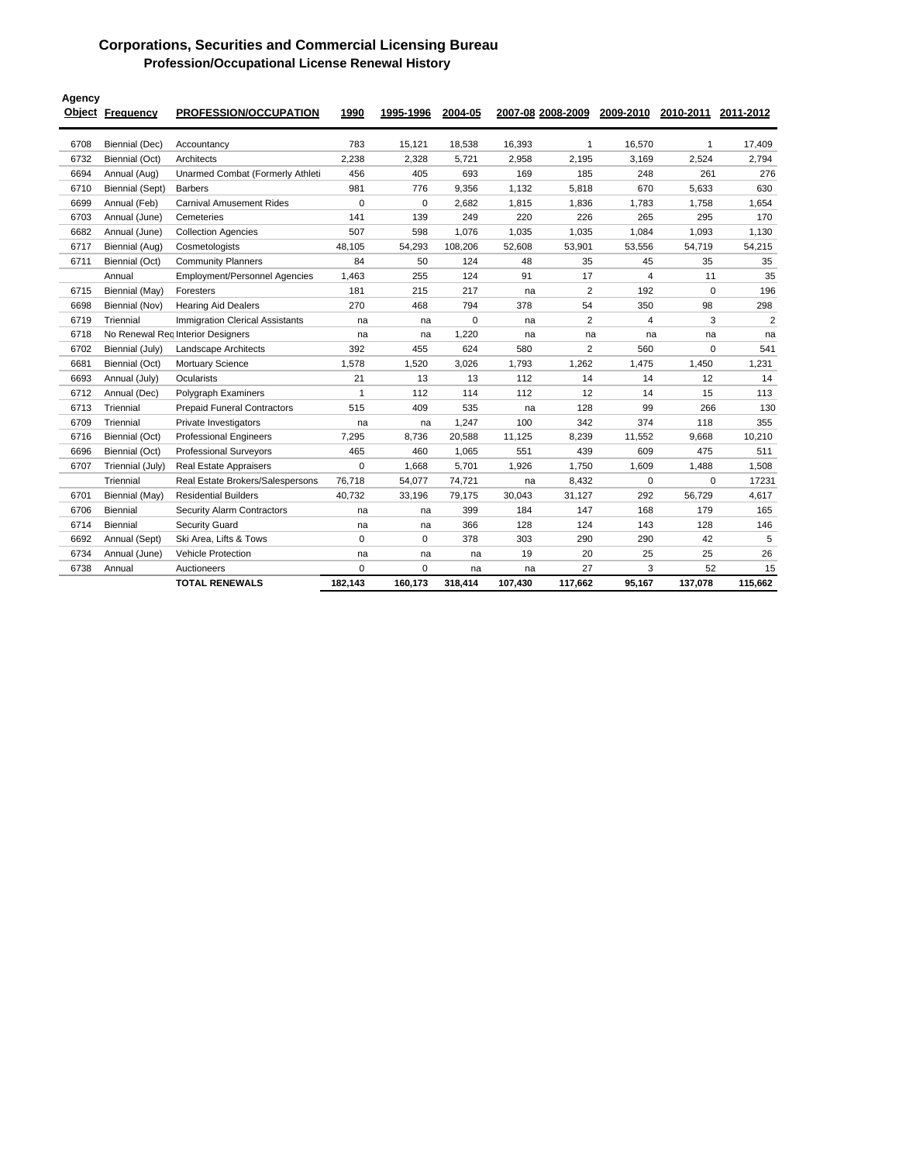## **Corporations, Securities and Commercial Licensing Bureau Profession/Occupational License Renewal History**

| Agency | <b>Object Frequency</b> | <b>PROFESSION/OCCUPATION</b>           | 1990           | 1995-1996   | 2004-05 |         | 2007-08 2008-2009 |                | 2009-2010 2010-2011 2011-2012 |                |
|--------|-------------------------|----------------------------------------|----------------|-------------|---------|---------|-------------------|----------------|-------------------------------|----------------|
| 6708   | Biennial (Dec)          | Accountancy                            | 783            | 15,121      | 18,538  | 16,393  | $\mathbf{1}$      | 16,570         | $\overline{1}$                | 17,409         |
| 6732   | Biennial (Oct)          | Architects                             | 2,238          | 2,328       | 5,721   | 2,958   | 2,195             | 3,169          | 2,524                         | 2,794          |
| 6694   | Annual (Aug)            | Unarmed Combat (Formerly Athleti       | 456            | 405         | 693     | 169     | 185               | 248            | 261                           | 276            |
| 6710   | <b>Biennial (Sept)</b>  | <b>Barbers</b>                         | 981            | 776         | 9,356   | 1.132   | 5.818             | 670            | 5.633                         | 630            |
| 6699   | Annual (Feb)            | <b>Carnival Amusement Rides</b>        | $\mathbf 0$    | $\mathbf 0$ | 2,682   | 1,815   | 1,836             | 1,783          | 1,758                         | 1,654          |
| 6703   | Annual (June)           | Cemeteries                             | 141            | 139         | 249     | 220     | 226               | 265            | 295                           | 170            |
| 6682   | Annual (June)           | <b>Collection Agencies</b>             | 507            | 598         | 1,076   | 1,035   | 1,035             | 1,084          | 1,093                         | 1,130          |
| 6717   | Biennial (Aug)          | Cosmetologists                         | 48,105         | 54,293      | 108,206 | 52,608  | 53,901            | 53,556         | 54,719                        | 54,215         |
| 6711   | Biennial (Oct)          | <b>Community Planners</b>              | 84             | 50          | 124     | 48      | 35                | 45             | 35                            | 35             |
|        | Annual                  | <b>Employment/Personnel Agencies</b>   | 1.463          | 255         | 124     | 91      | 17                | $\overline{4}$ | 11                            | 35             |
| 6715   | Biennial (May)          | Foresters                              | 181            | 215         | 217     | na      | $\overline{2}$    | 192            | 0                             | 196            |
| 6698   | Biennial (Nov)          | <b>Hearing Aid Dealers</b>             | 270            | 468         | 794     | 378     | 54                | 350            | 98                            | 298            |
| 6719   | Triennial               | <b>Immigration Clerical Assistants</b> | na             | na          | 0       | na      | $\overline{2}$    | 4              | 3                             | $\overline{2}$ |
| 6718   |                         | No Renewal Reg Interior Designers      |                | na          | 1,220   | na      | na                | na             | na                            | na             |
| 6702   | Biennial (July)         | <b>Landscape Architects</b>            | 392            | 455         | 624     | 580     | $\overline{2}$    | 560            | 0                             | 541            |
| 6681   | Biennial (Oct)          | <b>Mortuary Science</b>                | 1.578          | 1,520       | 3,026   | 1.793   | 1,262             | 1.475          | 1,450                         | 1,231          |
| 6693   | Annual (July)           | Ocularists                             | 21             | 13          | 13      | 112     | 14                | 14             | 12                            | 14             |
| 6712   | Annual (Dec)            | Polygraph Examiners                    | $\overline{1}$ | 112         | 114     | 112     | 12                | 14             | 15                            | 113            |
| 6713   | Triennial               | <b>Prepaid Funeral Contractors</b>     | 515            | 409         | 535     | na      | 128               | 99             | 266                           | 130            |
| 6709   | Triennial               | Private Investigators                  | na             | na          | 1,247   | 100     | 342               | 374            | 118                           | 355            |
| 6716   | Biennial (Oct)          | <b>Professional Engineers</b>          | 7,295          | 8,736       | 20,588  | 11,125  | 8,239             | 11,552         | 9,668                         | 10,210         |
| 6696   | Biennial (Oct)          | <b>Professional Surveyors</b>          | 465            | 460         | 1,065   | 551     | 439               | 609            | 475                           | 511            |
| 6707   | Triennial (July)        | <b>Real Estate Appraisers</b>          | 0              | 1,668       | 5,701   | 1,926   | 1,750             | 1,609          | 1,488                         | 1,508          |
|        | Triennial               | Real Estate Brokers/Salespersons       | 76,718         | 54,077      | 74,721  | na      | 8,432             | $\mathbf 0$    | 0                             | 17231          |
| 6701   | Biennial (May)          | <b>Residential Builders</b>            | 40,732         | 33,196      | 79,175  | 30,043  | 31,127            | 292            | 56,729                        | 4,617          |
| 6706   | Biennial                | <b>Security Alarm Contractors</b>      | na             | na          | 399     | 184     | 147               | 168            | 179                           | 165            |
| 6714   | <b>Biennial</b>         | <b>Security Guard</b>                  | na             | na          | 366     | 128     | 124               | 143            | 128                           | 146            |
| 6692   | Annual (Sept)           | Ski Area, Lifts & Tows                 | 0              | 0           | 378     | 303     | 290               | 290            | 42                            | 5              |
| 6734   | Annual (June)           | <b>Vehicle Protection</b>              | na             | na          | na      | 19      | 20                | 25             | 25                            | 26             |
| 6738   | Annual                  | Auctioneers                            | $\Omega$       | 0           | na      | na      | 27                | 3              | 52                            | 15             |
|        |                         | <b>TOTAL RENEWALS</b>                  | 182.143        | 160,173     | 318,414 | 107,430 | 117,662           | 95,167         | 137,078                       | 115,662        |